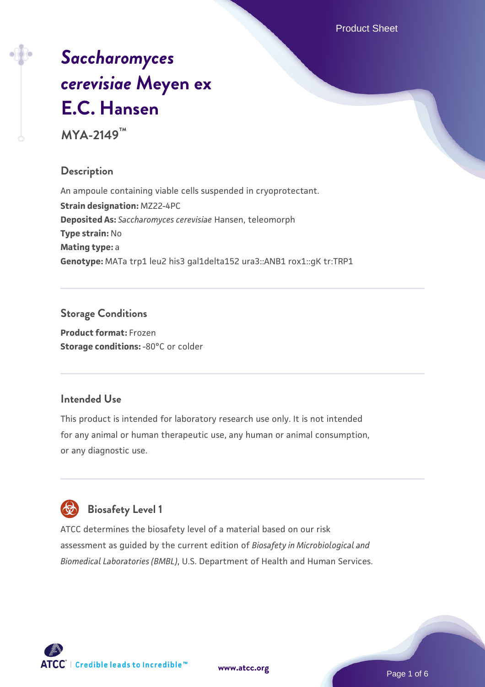Product Sheet

# *[Saccharomyces](https://www.atcc.org/products/mya-2149) [cerevisiae](https://www.atcc.org/products/mya-2149)* **[Meyen ex](https://www.atcc.org/products/mya-2149) [E.C. Hansen](https://www.atcc.org/products/mya-2149)**

**MYA-2149™**

# **Description**

An ampoule containing viable cells suspended in cryoprotectant. **Strain designation:** MZ22-4PC **Deposited As:** *Saccharomyces cerevisiae* Hansen, teleomorph **Type strain:** No **Mating type:** a **Genotype:** MATa trp1 leu2 his3 gal1delta152 ura3::ANB1 rox1::gK tr:TRP1

# **Storage Conditions**

**Product format:** Frozen **Storage conditions: -80°C or colder** 

# **Intended Use**

This product is intended for laboratory research use only. It is not intended for any animal or human therapeutic use, any human or animal consumption, or any diagnostic use.

# **Biosafety Level 1**

ATCC determines the biosafety level of a material based on our risk assessment as guided by the current edition of *Biosafety in Microbiological and Biomedical Laboratories (BMBL)*, U.S. Department of Health and Human Services.

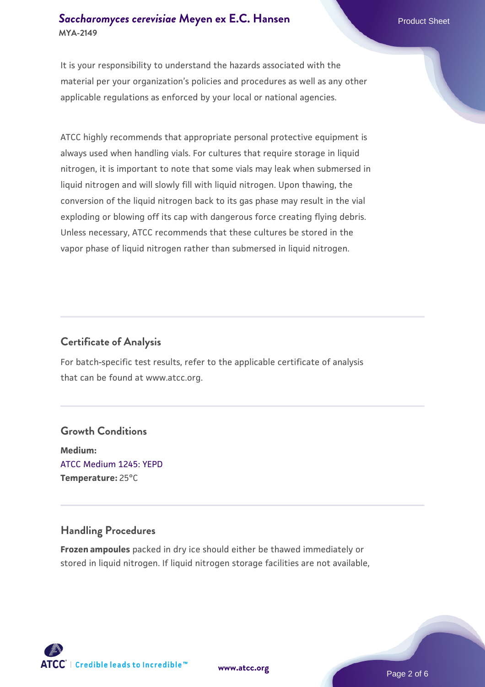## **[Saccharomyces cerevisiae](https://www.atcc.org/products/mya-2149)** [Meyen ex E.C. Hansen](https://www.atcc.org/products/mya-2149) **MYA-2149**

It is your responsibility to understand the hazards associated with the material per your organization's policies and procedures as well as any other applicable regulations as enforced by your local or national agencies.

ATCC highly recommends that appropriate personal protective equipment is always used when handling vials. For cultures that require storage in liquid nitrogen, it is important to note that some vials may leak when submersed in liquid nitrogen and will slowly fill with liquid nitrogen. Upon thawing, the conversion of the liquid nitrogen back to its gas phase may result in the vial exploding or blowing off its cap with dangerous force creating flying debris. Unless necessary, ATCC recommends that these cultures be stored in the vapor phase of liquid nitrogen rather than submersed in liquid nitrogen.

# **Certificate of Analysis**

For batch-specific test results, refer to the applicable certificate of analysis that can be found at www.atcc.org.

# **Growth Conditions**

**Medium:**  [ATCC Medium 1245: YEPD](https://www.atcc.org/-/media/product-assets/documents/microbial-media-formulations/1/2/4/5/atcc-medium-1245.pdf?rev=705ca55d1b6f490a808a965d5c072196) **Temperature:** 25°C

# **Handling Procedures**

**Frozen ampoules** packed in dry ice should either be thawed immediately or stored in liquid nitrogen. If liquid nitrogen storage facilities are not available,

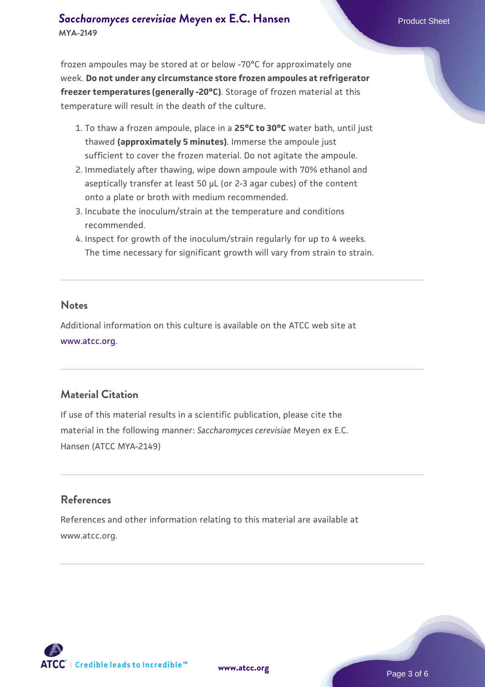# **[Saccharomyces cerevisiae](https://www.atcc.org/products/mya-2149)** [Meyen ex E.C. Hansen](https://www.atcc.org/products/mya-2149) **MYA-2149**

frozen ampoules may be stored at or below -70°C for approximately one week. **Do not under any circumstance store frozen ampoules at refrigerator freezer temperatures (generally -20°C)**. Storage of frozen material at this temperature will result in the death of the culture.

- 1. To thaw a frozen ampoule, place in a **25°C to 30°C** water bath, until just thawed **(approximately 5 minutes)**. Immerse the ampoule just sufficient to cover the frozen material. Do not agitate the ampoule.
- 2. Immediately after thawing, wipe down ampoule with 70% ethanol and aseptically transfer at least 50 µL (or 2-3 agar cubes) of the content onto a plate or broth with medium recommended.
- 3. Incubate the inoculum/strain at the temperature and conditions recommended.
- 4. Inspect for growth of the inoculum/strain regularly for up to 4 weeks. The time necessary for significant growth will vary from strain to strain.

#### **Notes**

Additional information on this culture is available on the ATCC web site at [www.atcc.org.](http://www.atcc.org/)

# **Material Citation**

If use of this material results in a scientific publication, please cite the material in the following manner: *Saccharomyces cerevisiae* Meyen ex E.C. Hansen (ATCC MYA-2149)

# **References**

References and other information relating to this material are available at www.atcc.org.

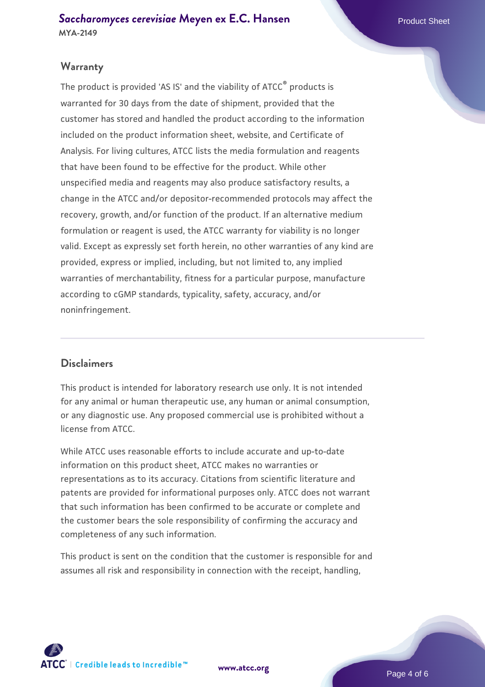# **Warranty**

The product is provided 'AS IS' and the viability of ATCC® products is warranted for 30 days from the date of shipment, provided that the customer has stored and handled the product according to the information included on the product information sheet, website, and Certificate of Analysis. For living cultures, ATCC lists the media formulation and reagents that have been found to be effective for the product. While other unspecified media and reagents may also produce satisfactory results, a change in the ATCC and/or depositor-recommended protocols may affect the recovery, growth, and/or function of the product. If an alternative medium formulation or reagent is used, the ATCC warranty for viability is no longer valid. Except as expressly set forth herein, no other warranties of any kind are provided, express or implied, including, but not limited to, any implied warranties of merchantability, fitness for a particular purpose, manufacture according to cGMP standards, typicality, safety, accuracy, and/or noninfringement.

#### **Disclaimers**

This product is intended for laboratory research use only. It is not intended for any animal or human therapeutic use, any human or animal consumption, or any diagnostic use. Any proposed commercial use is prohibited without a license from ATCC.

While ATCC uses reasonable efforts to include accurate and up-to-date information on this product sheet, ATCC makes no warranties or representations as to its accuracy. Citations from scientific literature and patents are provided for informational purposes only. ATCC does not warrant that such information has been confirmed to be accurate or complete and the customer bears the sole responsibility of confirming the accuracy and completeness of any such information.

This product is sent on the condition that the customer is responsible for and assumes all risk and responsibility in connection with the receipt, handling,



**[www.atcc.org](http://www.atcc.org)**

Page 4 of 6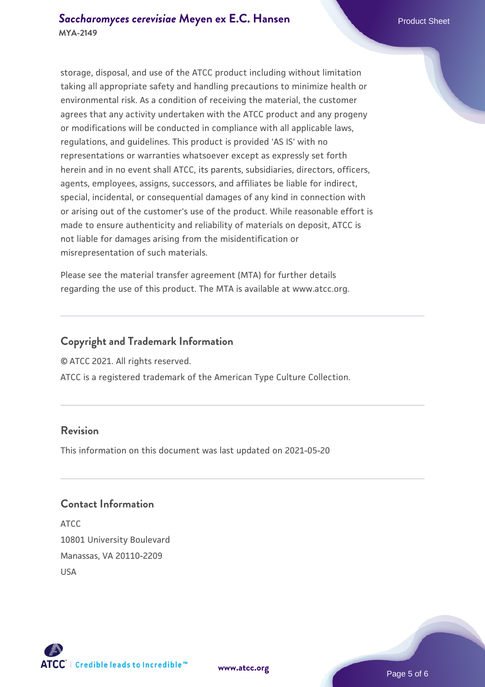storage, disposal, and use of the ATCC product including without limitation taking all appropriate safety and handling precautions to minimize health or environmental risk. As a condition of receiving the material, the customer agrees that any activity undertaken with the ATCC product and any progeny or modifications will be conducted in compliance with all applicable laws, regulations, and guidelines. This product is provided 'AS IS' with no representations or warranties whatsoever except as expressly set forth herein and in no event shall ATCC, its parents, subsidiaries, directors, officers, agents, employees, assigns, successors, and affiliates be liable for indirect, special, incidental, or consequential damages of any kind in connection with or arising out of the customer's use of the product. While reasonable effort is made to ensure authenticity and reliability of materials on deposit, ATCC is not liable for damages arising from the misidentification or misrepresentation of such materials.

Please see the material transfer agreement (MTA) for further details regarding the use of this product. The MTA is available at www.atcc.org.

## **Copyright and Trademark Information**

© ATCC 2021. All rights reserved.

ATCC is a registered trademark of the American Type Culture Collection.

## **Revision**

This information on this document was last updated on 2021-05-20

### **Contact Information**

ATCC 10801 University Boulevard Manassas, VA 20110-2209 USA